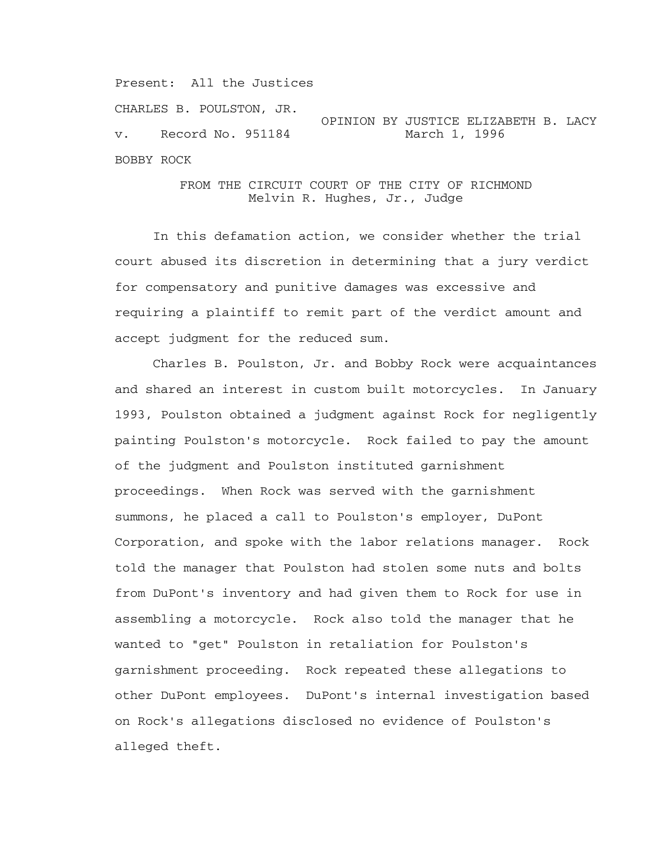Present: All the Justices

CHARLES B. POULSTON, JR.

OPINION BY JUSTICE ELIZABETH B. LACY<br>March 1, 1996  $v.$  Record No. 951184 BOBBY ROCK

> FROM THE CIRCUIT COURT OF THE CITY OF RICHMOND Melvin R. Hughes, Jr., Judge

 In this defamation action, we consider whether the trial court abused its discretion in determining that a jury verdict for compensatory and punitive damages was excessive and requiring a plaintiff to remit part of the verdict amount and accept judgment for the reduced sum.

 Charles B. Poulston, Jr. and Bobby Rock were acquaintances and shared an interest in custom built motorcycles. In January 1993, Poulston obtained a judgment against Rock for negligently painting Poulston's motorcycle. Rock failed to pay the amount of the judgment and Poulston instituted garnishment proceedings. When Rock was served with the garnishment summons, he placed a call to Poulston's employer, DuPont Corporation, and spoke with the labor relations manager. Rock told the manager that Poulston had stolen some nuts and bolts from DuPont's inventory and had given them to Rock for use in assembling a motorcycle. Rock also told the manager that he wanted to "get" Poulston in retaliation for Poulston's garnishment proceeding. Rock repeated these allegations to other DuPont employees. DuPont's internal investigation based on Rock's allegations disclosed no evidence of Poulston's alleged theft.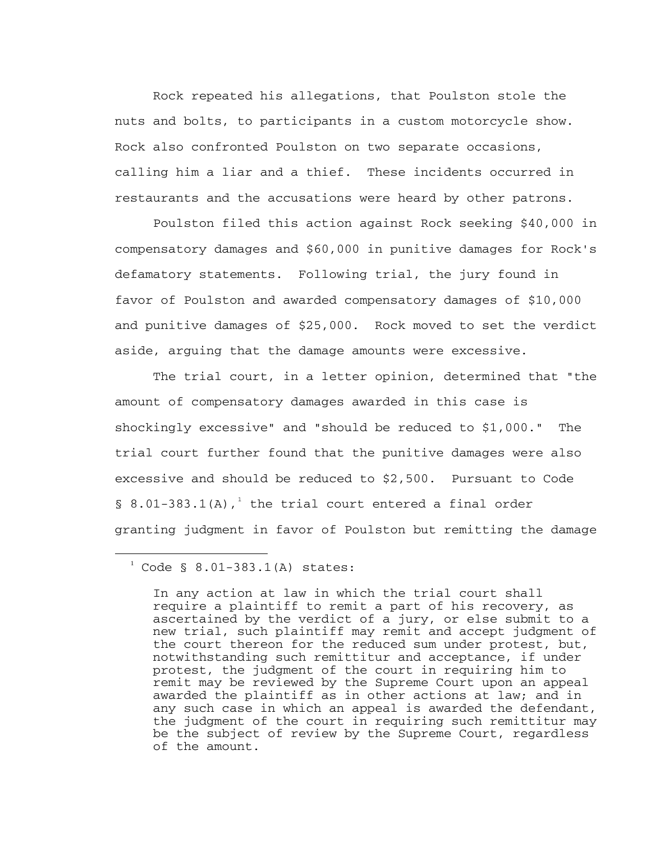Rock repeated his allegations, that Poulston stole the nuts and bolts, to participants in a custom motorcycle show. Rock also confronted Poulston on two separate occasions, calling him a liar and a thief. These incidents occurred in restaurants and the accusations were heard by other patrons.

 Poulston filed this action against Rock seeking \$40,000 in compensatory damages and \$60,000 in punitive damages for Rock's defamatory statements. Following trial, the jury found in favor of Poulston and awarded compensatory damages of \$10,000 and punitive damages of \$25,000. Rock moved to set the verdict aside, arguing that the damage amounts were excessive.

 The trial court, in a letter opinion, determined that "the amount of compensatory damages awarded in this case is shockingly excessive" and "should be reduced to \$1,000." The trial court further found that the punitive damages were also excessive and should be reduced to \$2,500. Pursuant to Code § 8.0[1](#page-1-0)-383.1(A),<sup>1</sup> the trial court entered a final order granting judgment in favor of Poulston but remitting the damage

i

<span id="page-1-0"></span> $1^{1}$  Code § 8.01-383.1(A) states:

In any action at law in which the trial court shall require a plaintiff to remit a part of his recovery, as ascertained by the verdict of a jury, or else submit to a new trial, such plaintiff may remit and accept judgment of the court thereon for the reduced sum under protest, but, notwithstanding such remittitur and acceptance, if under protest, the judgment of the court in requiring him to remit may be reviewed by the Supreme Court upon an appeal awarded the plaintiff as in other actions at law; and in any such case in which an appeal is awarded the defendant, the judgment of the court in requiring such remittitur may be the subject of review by the Supreme Court, regardless of the amount.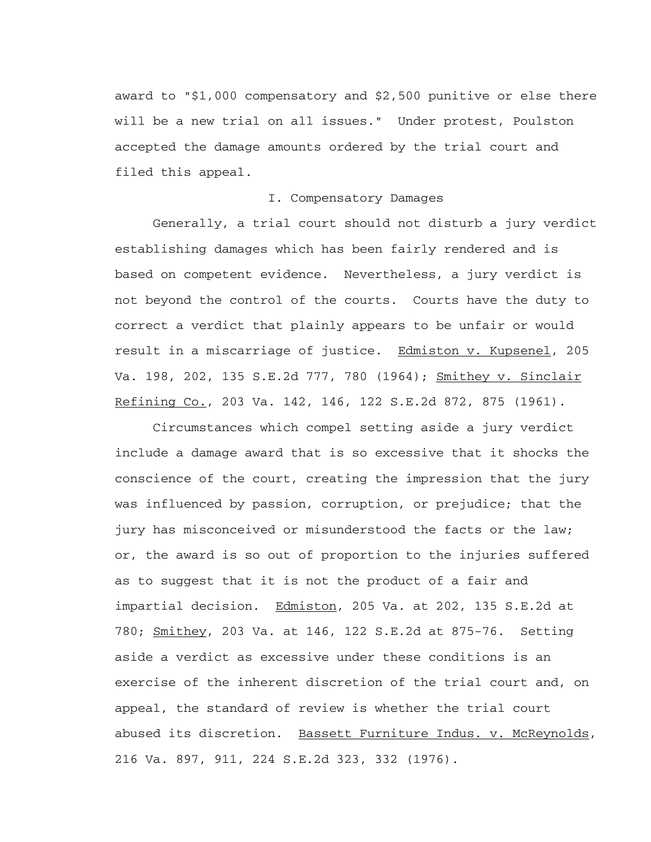award to "\$1,000 compensatory and \$2,500 punitive or else there will be a new trial on all issues." Under protest, Poulston accepted the damage amounts ordered by the trial court and filed this appeal.

## I. Compensatory Damages

 Generally, a trial court should not disturb a jury verdict establishing damages which has been fairly rendered and is based on competent evidence. Nevertheless, a jury verdict is not beyond the control of the courts. Courts have the duty to correct a verdict that plainly appears to be unfair or would result in a miscarriage of justice. Edmiston v. Kupsenel, 205 Va. 198, 202, 135 S.E.2d 777, 780 (1964); Smithey v. Sinclair Refining Co., 203 Va. 142, 146, 122 S.E.2d 872, 875 (1961).

 Circumstances which compel setting aside a jury verdict include a damage award that is so excessive that it shocks the conscience of the court, creating the impression that the jury was influenced by passion, corruption, or prejudice; that the jury has misconceived or misunderstood the facts or the law; or, the award is so out of proportion to the injuries suffered as to suggest that it is not the product of a fair and impartial decision. Edmiston, 205 Va. at 202, 135 S.E.2d at 780; Smithey, 203 Va. at 146, 122 S.E.2d at 875-76. Setting aside a verdict as excessive under these conditions is an exercise of the inherent discretion of the trial court and, on appeal, the standard of review is whether the trial court abused its discretion. Bassett Furniture Indus. v. McReynolds, 216 Va. 897, 911, 224 S.E.2d 323, 332 (1976).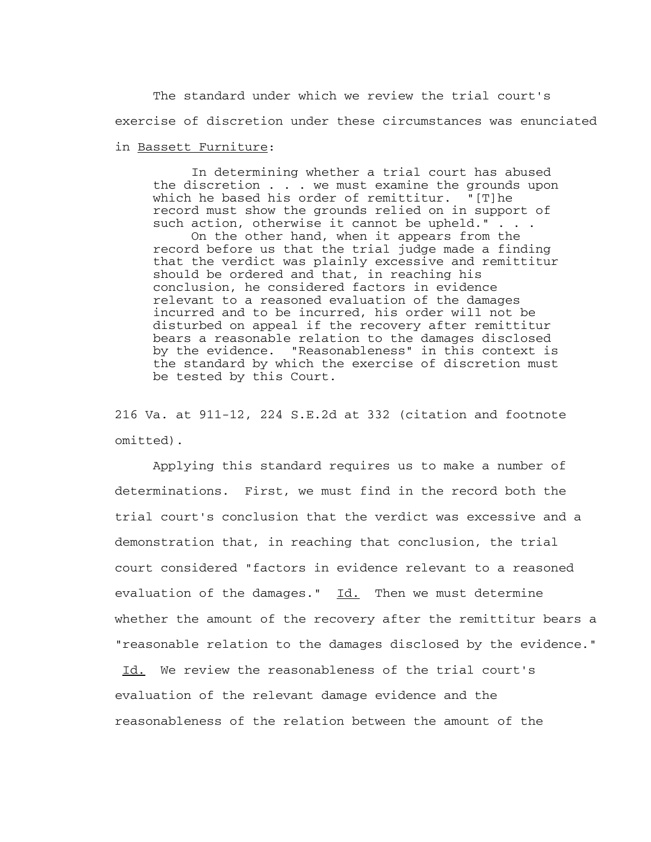The standard under which we review the trial court's exercise of discretion under these circumstances was enunciated

## in Bassett Furniture:

 In determining whether a trial court has abused the discretion . . . we must examine the grounds upon<br>which he based his order of remittitur. "[T]he which he based his order of remittitur. record must show the grounds relied on in support of such action, otherwise it cannot be upheld." . . .

 On the other hand, when it appears from the record before us that the trial judge made a finding that the verdict was plainly excessive and remittitur should be ordered and that, in reaching his conclusion, he considered factors in evidence relevant to a reasoned evaluation of the damages incurred and to be incurred, his order will not be disturbed on appeal if the recovery after remittitur bears a reasonable relation to the damages disclosed by the evidence. "Reasonableness" in this context is the standard by which the exercise of discretion must be tested by this Court.

216 Va. at 911-12, 224 S.E.2d at 332 (citation and footnote omitted).

 Applying this standard requires us to make a number of determinations. First, we must find in the record both the trial court's conclusion that the verdict was excessive and a demonstration that, in reaching that conclusion, the trial court considered "factors in evidence relevant to a reasoned evaluation of the damages." Id. Then we must determine whether the amount of the recovery after the remittitur bears a "reasonable relation to the damages disclosed by the evidence."

Id. We review the reasonableness of the trial court's evaluation of the relevant damage evidence and the reasonableness of the relation between the amount of the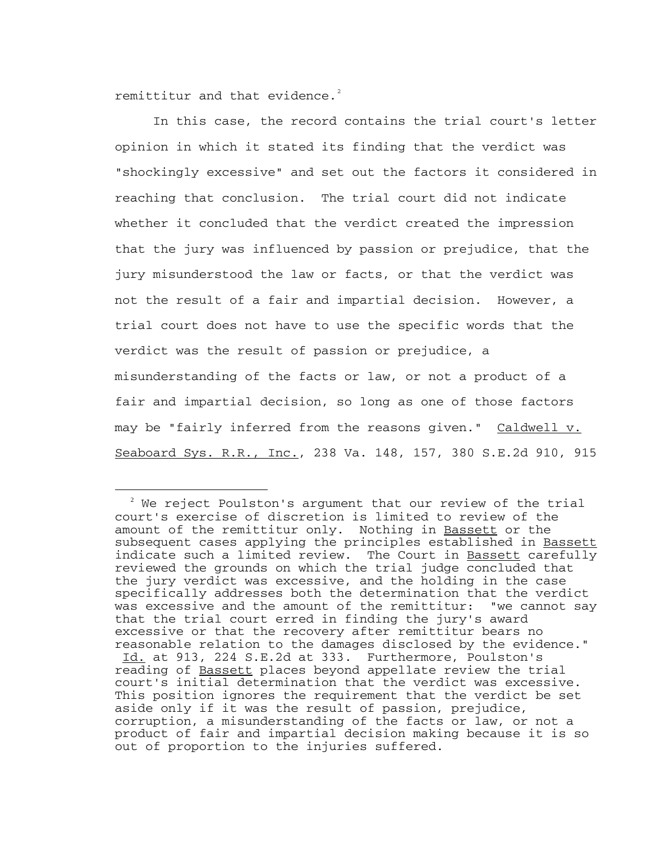remittitur and that evidence. $2$ 

i

 In this case, the record contains the trial court's letter opinion in which it stated its finding that the verdict was "shockingly excessive" and set out the factors it considered in reaching that conclusion. The trial court did not indicate whether it concluded that the verdict created the impression that the jury was influenced by passion or prejudice, that the jury misunderstood the law or facts, or that the verdict was not the result of a fair and impartial decision. However, a trial court does not have to use the specific words that the verdict was the result of passion or prejudice, a misunderstanding of the facts or law, or not a product of a fair and impartial decision, so long as one of those factors may be "fairly inferred from the reasons given." Caldwell v. Seaboard Sys. R.R., Inc., 238 Va. 148, 157, 380 S.E.2d 910, 915

<span id="page-4-0"></span> $2^2$  We reject Poulston's argument that our review of the trial court's exercise of discretion is limited to review of the amount of the remittitur only. Nothing in Bassett or the subsequent cases applying the principles established in Bassett indicate such a limited review. The Court in Bassett carefully reviewed the grounds on which the trial judge concluded that the jury verdict was excessive, and the holding in the case specifically addresses both the determination that the verdict was excessive and the amount of the remittitur: "we cannot say that the trial court erred in finding the jury's award excessive or that the recovery after remittitur bears no reasonable relation to the damages disclosed by the evidence." Id. at 913, 224 S.E.2d at 333. Furthermore, Poulston's reading of Bassett places beyond appellate review the trial court's initial determination that the verdict was excessive. This position ignores the requirement that the verdict be set aside only if it was the result of passion, prejudice, corruption, a misunderstanding of the facts or law, or not a product of fair and impartial decision making because it is so out of proportion to the injuries suffered.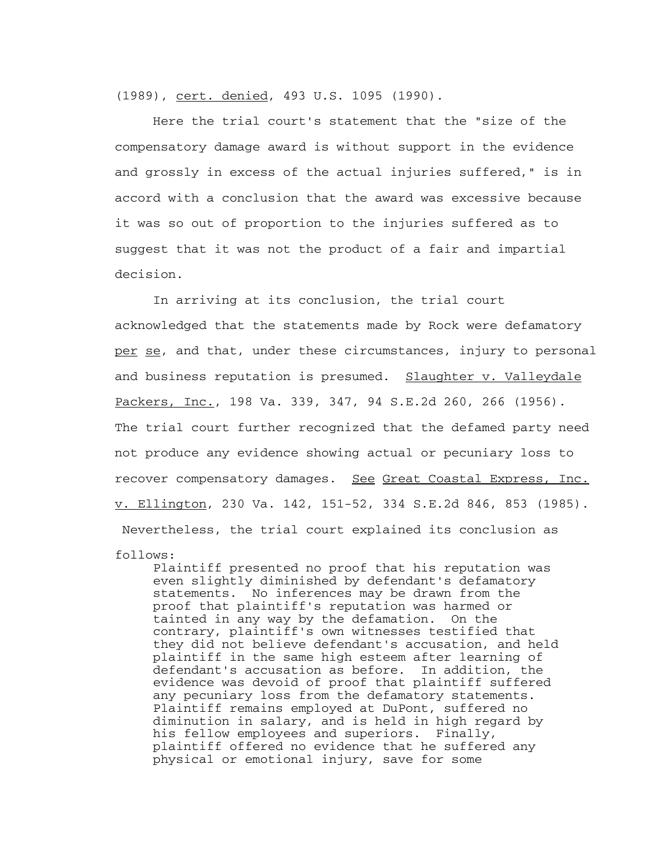(1989), cert. denied, 493 U.S. 1095 (1990).

 Here the trial court's statement that the "size of the compensatory damage award is without support in the evidence and grossly in excess of the actual injuries suffered," is in accord with a conclusion that the award was excessive because it was so out of proportion to the injuries suffered as to suggest that it was not the product of a fair and impartial decision.

 In arriving at its conclusion, the trial court acknowledged that the statements made by Rock were defamatory per se, and that, under these circumstances, injury to personal and business reputation is presumed. Slaughter v. Valleydale Packers, Inc., 198 Va. 339, 347, 94 S.E.2d 260, 266 (1956). The trial court further recognized that the defamed party need not produce any evidence showing actual or pecuniary loss to recover compensatory damages. See Great Coastal Express, Inc. v. Ellington, 230 Va. 142, 151-52, 334 S.E.2d 846, 853 (1985). Nevertheless, the trial court explained its conclusion as

```
follows:
```
 Plaintiff presented no proof that his reputation was even slightly diminished by defendant's defamatory statements. No inferences may be drawn from the proof that plaintiff's reputation was harmed or tainted in any way by the defamation. On the contrary, plaintiff's own witnesses testified that they did not believe defendant's accusation, and held plaintiff in the same high esteem after learning of defendant's accusation as before. In addition, the evidence was devoid of proof that plaintiff suffered any pecuniary loss from the defamatory statements. Plaintiff remains employed at DuPont, suffered no diminution in salary, and is held in high regard by his fellow employees and superiors. Finally, plaintiff offered no evidence that he suffered any physical or emotional injury, save for some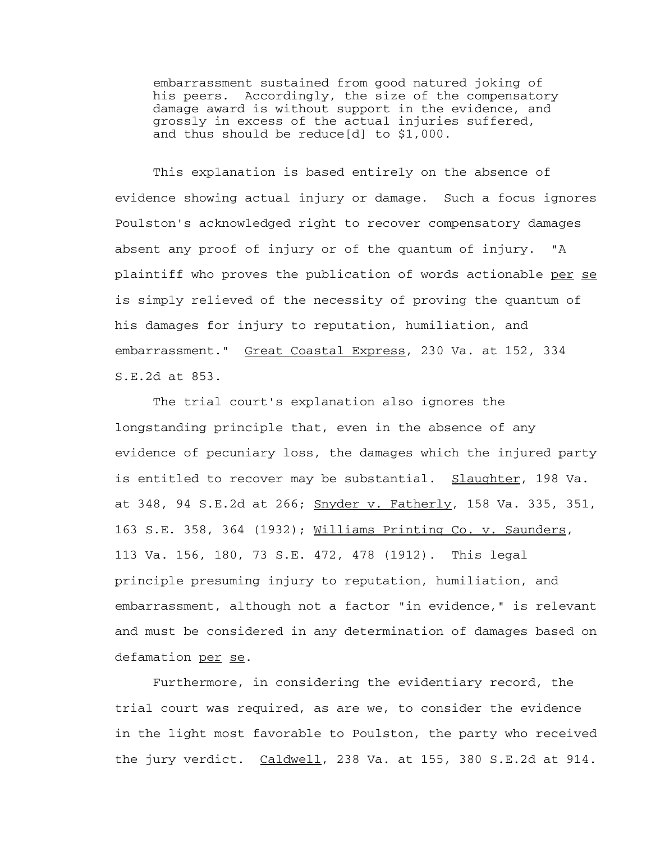embarrassment sustained from good natured joking of his peers. Accordingly, the size of the compensatory damage award is without support in the evidence, and grossly in excess of the actual injuries suffered, and thus should be reduce[d] to \$1,000.

 This explanation is based entirely on the absence of evidence showing actual injury or damage. Such a focus ignores Poulston's acknowledged right to recover compensatory damages absent any proof of injury or of the quantum of injury. "A plaintiff who proves the publication of words actionable per se is simply relieved of the necessity of proving the quantum of his damages for injury to reputation, humiliation, and embarrassment." Great Coastal Express, 230 Va. at 152, 334 S.E.2d at 853.

 The trial court's explanation also ignores the longstanding principle that, even in the absence of any evidence of pecuniary loss, the damages which the injured party is entitled to recover may be substantial. Slaughter, 198 Va. at 348, 94 S.E.2d at 266; Snyder v. Fatherly, 158 Va. 335, 351, 163 S.E. 358, 364 (1932); Williams Printing Co. v. Saunders, 113 Va. 156, 180, 73 S.E. 472, 478 (1912). This legal principle presuming injury to reputation, humiliation, and embarrassment, although not a factor "in evidence," is relevant and must be considered in any determination of damages based on defamation per se.

 Furthermore, in considering the evidentiary record, the trial court was required, as are we, to consider the evidence in the light most favorable to Poulston, the party who received the jury verdict. Caldwell, 238 Va. at 155, 380 S.E.2d at 914.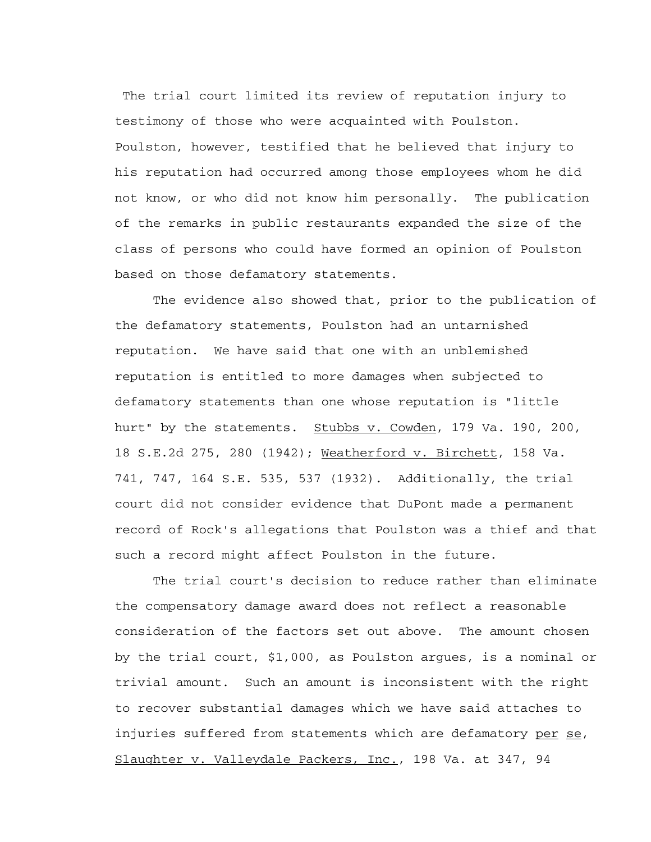The trial court limited its review of reputation injury to testimony of those who were acquainted with Poulston. Poulston, however, testified that he believed that injury to his reputation had occurred among those employees whom he did not know, or who did not know him personally. The publication of the remarks in public restaurants expanded the size of the class of persons who could have formed an opinion of Poulston based on those defamatory statements.

 The evidence also showed that, prior to the publication of the defamatory statements, Poulston had an untarnished reputation. We have said that one with an unblemished reputation is entitled to more damages when subjected to defamatory statements than one whose reputation is "little hurt" by the statements. Stubbs v. Cowden, 179 Va. 190, 200, 18 S.E.2d 275, 280 (1942); Weatherford v. Birchett, 158 Va. 741, 747, 164 S.E. 535, 537 (1932). Additionally, the trial court did not consider evidence that DuPont made a permanent record of Rock's allegations that Poulston was a thief and that such a record might affect Poulston in the future.

 The trial court's decision to reduce rather than eliminate the compensatory damage award does not reflect a reasonable consideration of the factors set out above. The amount chosen by the trial court, \$1,000, as Poulston argues, is a nominal or trivial amount. Such an amount is inconsistent with the right to recover substantial damages which we have said attaches to injuries suffered from statements which are defamatory per se, Slaughter v. Valleydale Packers, Inc., 198 Va. at 347, 94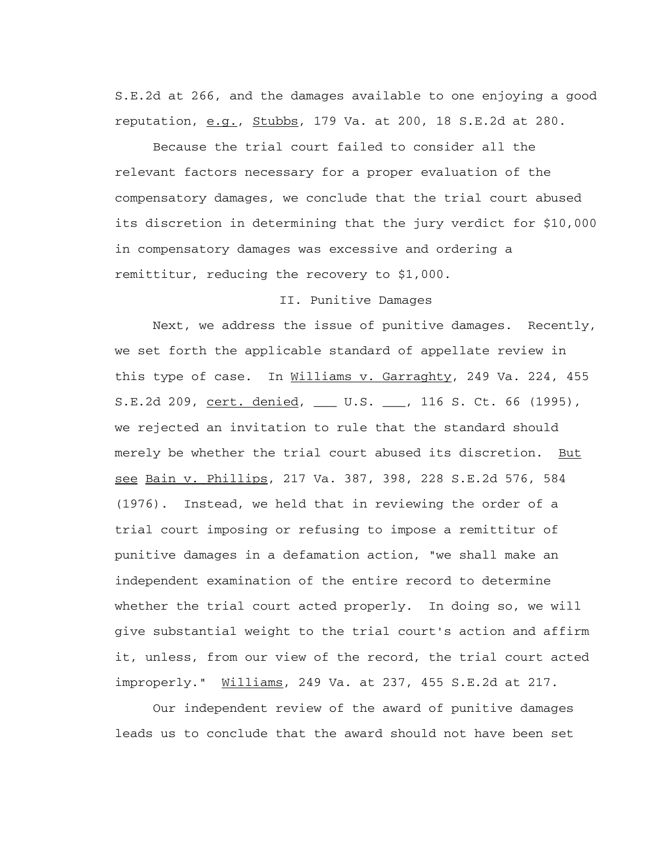S.E.2d at 266, and the damages available to one enjoying a good reputation,  $e.g.,$  Stubbs, 179 Va. at 200, 18 S.E.2d at 280.

 Because the trial court failed to consider all the relevant factors necessary for a proper evaluation of the compensatory damages, we conclude that the trial court abused its discretion in determining that the jury verdict for \$10,000 in compensatory damages was excessive and ordering a remittitur, reducing the recovery to \$1,000.

## II. Punitive Damages

 Next, we address the issue of punitive damages. Recently, we set forth the applicable standard of appellate review in this type of case. In Williams v. Garraghty, 249 Va. 224, 455 S.E.2d 209, cert. denied, \_\_\_ U.S. \_\_\_, 116 S. Ct. 66 (1995), we rejected an invitation to rule that the standard should merely be whether the trial court abused its discretion. But see Bain v. Phillips, 217 Va. 387, 398, 228 S.E.2d 576, 584 (1976). Instead, we held that in reviewing the order of a trial court imposing or refusing to impose a remittitur of punitive damages in a defamation action, "we shall make an independent examination of the entire record to determine whether the trial court acted properly. In doing so, we will give substantial weight to the trial court's action and affirm it, unless, from our view of the record, the trial court acted improperly." Williams, 249 Va. at 237, 455 S.E.2d at 217.

 Our independent review of the award of punitive damages leads us to conclude that the award should not have been set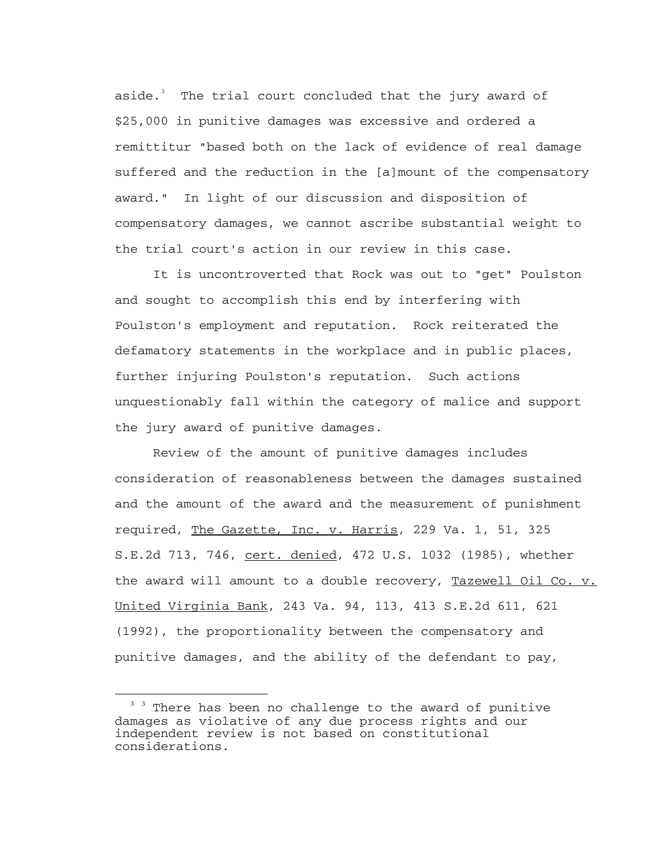aside.<sup>[3](#page-9-0)</sup> The trial court concluded that the jury award of \$25,000 in punitive damages was excessive and ordered a remittitur "based both on the lack of evidence of real damage suffered and the reduction in the [a]mount of the compensatory award." In light of our discussion and disposition of compensatory damages, we cannot ascribe substantial weight to the trial court's action in our review in this case.

 It is uncontroverted that Rock was out to "get" Poulston and sought to accomplish this end by interfering with Poulston's employment and reputation. Rock reiterated the defamatory statements in the workplace and in public places, further injuring Poulston's reputation. Such actions unquestionably fall within the category of malice and support the jury award of punitive damages.

 Review of the amount of punitive damages includes consideration of reasonableness between the damages sustained and the amount of the award and the measurement of punishment required, The Gazette, Inc. v. Harris, 229 Va. 1, 51, 325 S.E.2d 713, 746, cert. denied, 472 U.S. 1032 (1985), whether the award will amount to a double recovery, Tazewell Oil Co. v. United Virginia Bank, 243 Va. 94, 113, 413 S.E.2d 611, 621 (1992), the proportionality between the compensatory and punitive damages, and the ability of the defendant to pay,

i

<span id="page-9-0"></span><sup>&</sup>lt;sup>3</sup> <sup>3</sup> There has been no challenge to the award of punitive damages as violative of any due process rights and our independent review is not based on constitutional considerations.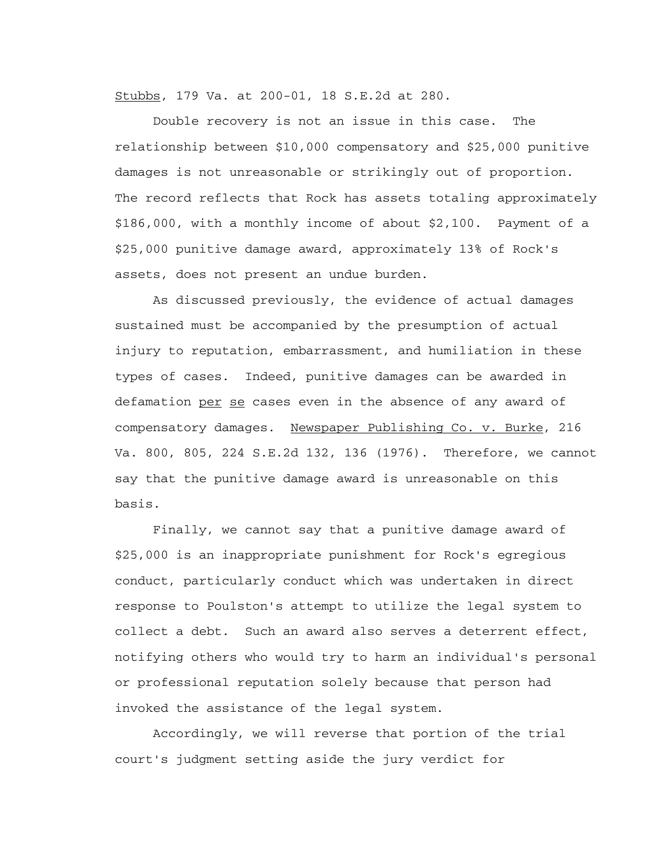Stubbs, 179 Va. at 200-01, 18 S.E.2d at 280.

 Double recovery is not an issue in this case. The relationship between \$10,000 compensatory and \$25,000 punitive damages is not unreasonable or strikingly out of proportion. The record reflects that Rock has assets totaling approximately \$186,000, with a monthly income of about \$2,100. Payment of a \$25,000 punitive damage award, approximately 13% of Rock's assets, does not present an undue burden.

 As discussed previously, the evidence of actual damages sustained must be accompanied by the presumption of actual injury to reputation, embarrassment, and humiliation in these types of cases. Indeed, punitive damages can be awarded in defamation per se cases even in the absence of any award of compensatory damages. Newspaper Publishing Co. v. Burke, 216 Va. 800, 805, 224 S.E.2d 132, 136 (1976). Therefore, we cannot say that the punitive damage award is unreasonable on this basis.

 Finally, we cannot say that a punitive damage award of \$25,000 is an inappropriate punishment for Rock's egregious conduct, particularly conduct which was undertaken in direct response to Poulston's attempt to utilize the legal system to collect a debt. Such an award also serves a deterrent effect, notifying others who would try to harm an individual's personal or professional reputation solely because that person had invoked the assistance of the legal system.

 Accordingly, we will reverse that portion of the trial court's judgment setting aside the jury verdict for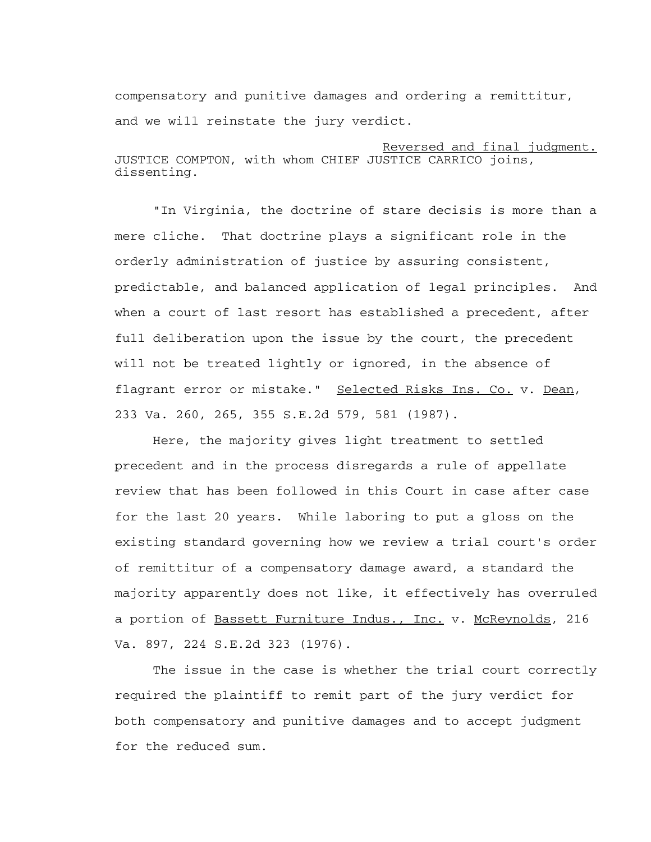compensatory and punitive damages and ordering a remittitur, and we will reinstate the jury verdict.

Reversed and final judgment. JUSTICE COMPTON, with whom CHIEF JUSTICE CARRICO joins, dissenting.

 "In Virginia, the doctrine of stare decisis is more than a mere cliche. That doctrine plays a significant role in the orderly administration of justice by assuring consistent, predictable, and balanced application of legal principles. And when a court of last resort has established a precedent, after full deliberation upon the issue by the court, the precedent will not be treated lightly or ignored, in the absence of flagrant error or mistake." Selected Risks Ins. Co. v. Dean, 233 Va. 260, 265, 355 S.E.2d 579, 581 (1987).

 Here, the majority gives light treatment to settled precedent and in the process disregards a rule of appellate review that has been followed in this Court in case after case for the last 20 years. While laboring to put a gloss on the existing standard governing how we review a trial court's order of remittitur of a compensatory damage award, a standard the majority apparently does not like, it effectively has overruled a portion of Bassett Furniture Indus., Inc. v. McReynolds, 216 Va. 897, 224 S.E.2d 323 (1976).

 The issue in the case is whether the trial court correctly required the plaintiff to remit part of the jury verdict for both compensatory and punitive damages and to accept judgment for the reduced sum.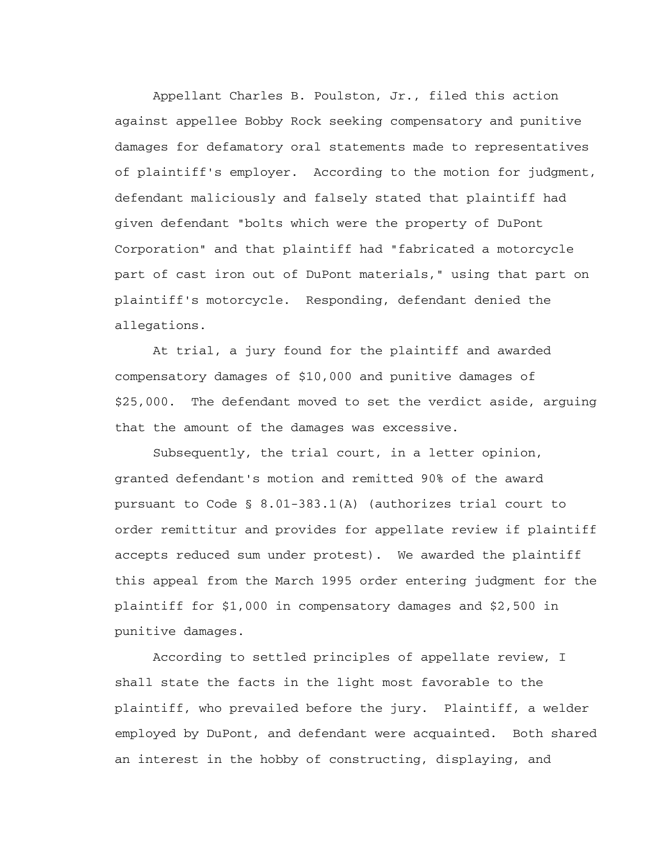Appellant Charles B. Poulston, Jr., filed this action against appellee Bobby Rock seeking compensatory and punitive damages for defamatory oral statements made to representatives of plaintiff's employer. According to the motion for judgment, defendant maliciously and falsely stated that plaintiff had given defendant "bolts which were the property of DuPont Corporation" and that plaintiff had "fabricated a motorcycle part of cast iron out of DuPont materials," using that part on plaintiff's motorcycle. Responding, defendant denied the allegations.

 At trial, a jury found for the plaintiff and awarded compensatory damages of \$10,000 and punitive damages of \$25,000. The defendant moved to set the verdict aside, arguing that the amount of the damages was excessive.

 Subsequently, the trial court, in a letter opinion, granted defendant's motion and remitted 90% of the award pursuant to Code § 8.01-383.1(A) (authorizes trial court to order remittitur and provides for appellate review if plaintiff accepts reduced sum under protest). We awarded the plaintiff this appeal from the March 1995 order entering judgment for the plaintiff for \$1,000 in compensatory damages and \$2,500 in punitive damages.

 According to settled principles of appellate review, I shall state the facts in the light most favorable to the plaintiff, who prevailed before the jury. Plaintiff, a welder employed by DuPont, and defendant were acquainted. Both shared an interest in the hobby of constructing, displaying, and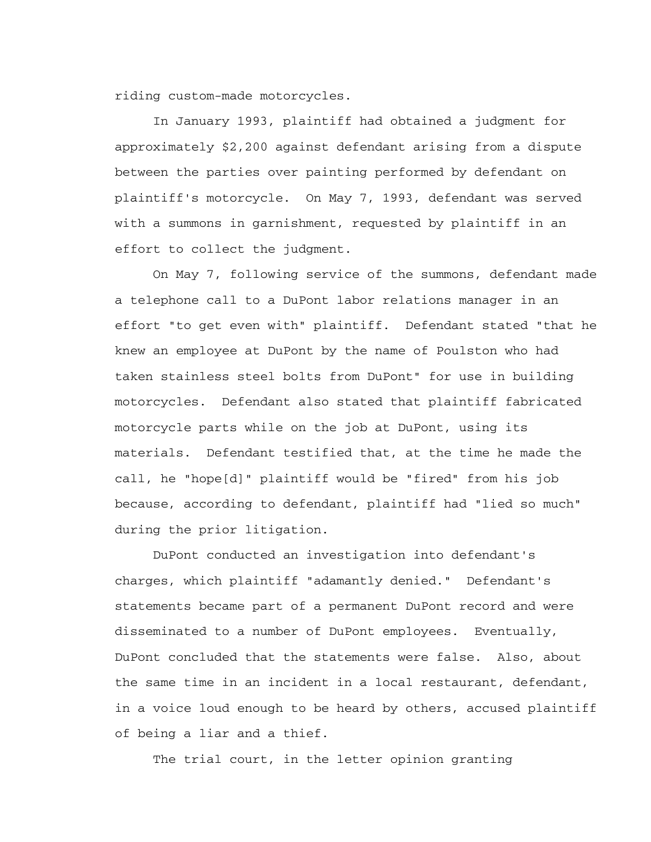riding custom-made motorcycles.

 In January 1993, plaintiff had obtained a judgment for approximately \$2,200 against defendant arising from a dispute between the parties over painting performed by defendant on plaintiff's motorcycle. On May 7, 1993, defendant was served with a summons in garnishment, requested by plaintiff in an effort to collect the judgment.

 On May 7, following service of the summons, defendant made a telephone call to a DuPont labor relations manager in an effort "to get even with" plaintiff. Defendant stated "that he knew an employee at DuPont by the name of Poulston who had taken stainless steel bolts from DuPont" for use in building motorcycles. Defendant also stated that plaintiff fabricated motorcycle parts while on the job at DuPont, using its materials. Defendant testified that, at the time he made the call, he "hope[d]" plaintiff would be "fired" from his job because, according to defendant, plaintiff had "lied so much" during the prior litigation.

 DuPont conducted an investigation into defendant's charges, which plaintiff "adamantly denied." Defendant's statements became part of a permanent DuPont record and were disseminated to a number of DuPont employees. Eventually, DuPont concluded that the statements were false. Also, about the same time in an incident in a local restaurant, defendant, in a voice loud enough to be heard by others, accused plaintiff of being a liar and a thief.

The trial court, in the letter opinion granting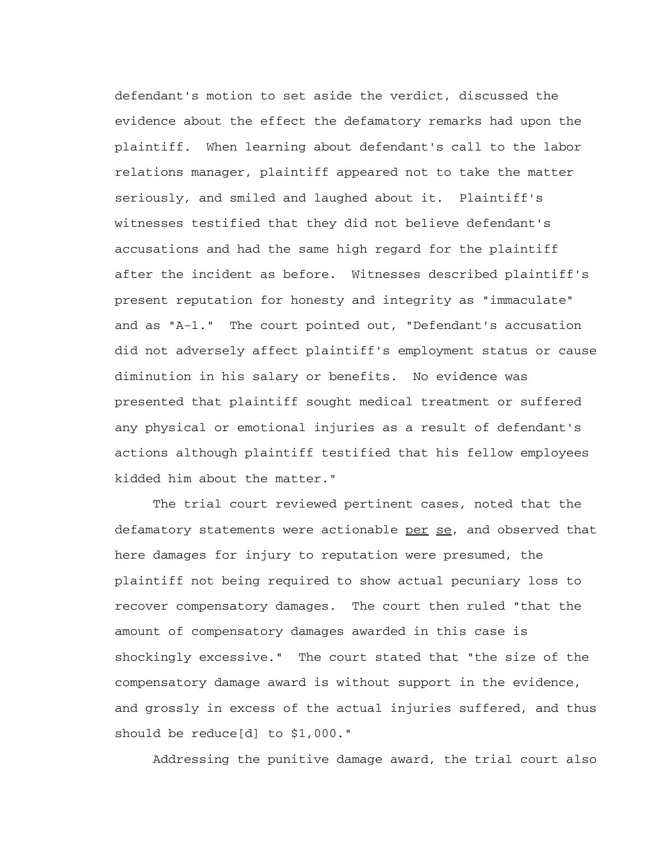defendant's motion to set aside the verdict, discussed the evidence about the effect the defamatory remarks had upon the plaintiff. When learning about defendant's call to the labor relations manager, plaintiff appeared not to take the matter seriously, and smiled and laughed about it. Plaintiff's witnesses testified that they did not believe defendant's accusations and had the same high regard for the plaintiff after the incident as before. Witnesses described plaintiff's present reputation for honesty and integrity as "immaculate" and as "A-1." The court pointed out, "Defendant's accusation did not adversely affect plaintiff's employment status or cause diminution in his salary or benefits. No evidence was presented that plaintiff sought medical treatment or suffered any physical or emotional injuries as a result of defendant's actions although plaintiff testified that his fellow employees kidded him about the matter."

 The trial court reviewed pertinent cases, noted that the defamatory statements were actionable per se, and observed that here damages for injury to reputation were presumed, the plaintiff not being required to show actual pecuniary loss to recover compensatory damages. The court then ruled "that the amount of compensatory damages awarded in this case is shockingly excessive." The court stated that "the size of the compensatory damage award is without support in the evidence, and grossly in excess of the actual injuries suffered, and thus should be reduce[d] to \$1,000."

Addressing the punitive damage award, the trial court also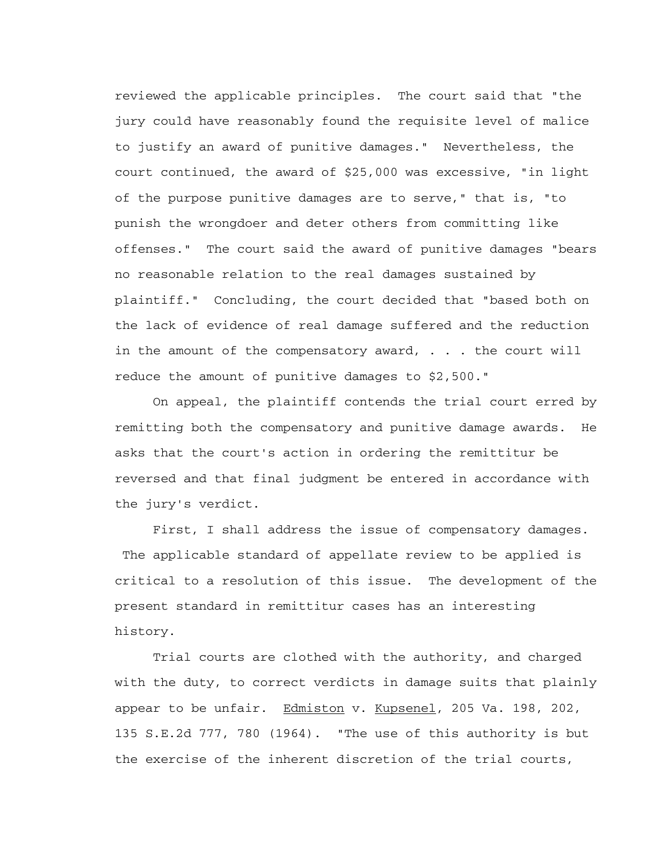reviewed the applicable principles. The court said that "the jury could have reasonably found the requisite level of malice to justify an award of punitive damages." Nevertheless, the court continued, the award of \$25,000 was excessive, "in light of the purpose punitive damages are to serve," that is, "to punish the wrongdoer and deter others from committing like offenses." The court said the award of punitive damages "bears no reasonable relation to the real damages sustained by plaintiff." Concluding, the court decided that "based both on the lack of evidence of real damage suffered and the reduction in the amount of the compensatory award, . . . the court will reduce the amount of punitive damages to \$2,500."

 On appeal, the plaintiff contends the trial court erred by remitting both the compensatory and punitive damage awards. He asks that the court's action in ordering the remittitur be reversed and that final judgment be entered in accordance with the jury's verdict.

 First, I shall address the issue of compensatory damages. The applicable standard of appellate review to be applied is critical to a resolution of this issue. The development of the present standard in remittitur cases has an interesting history.

 Trial courts are clothed with the authority, and charged with the duty, to correct verdicts in damage suits that plainly appear to be unfair. Edmiston v. Kupsenel, 205 Va. 198, 202, 135 S.E.2d 777, 780 (1964). "The use of this authority is but the exercise of the inherent discretion of the trial courts,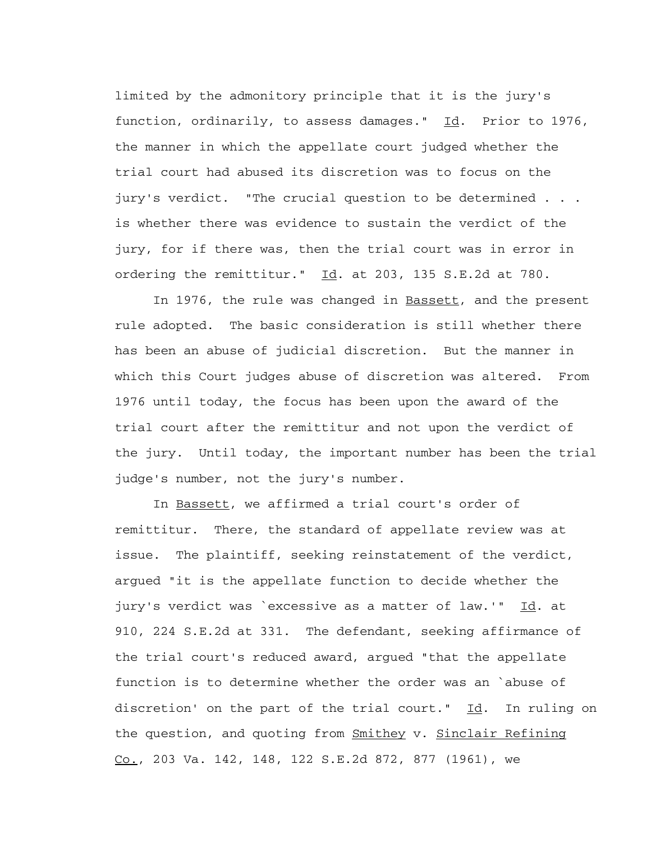limited by the admonitory principle that it is the jury's function, ordinarily, to assess damages."  $\text{Id.}$  Prior to 1976, the manner in which the appellate court judged whether the trial court had abused its discretion was to focus on the jury's verdict. "The crucial question to be determined . . . is whether there was evidence to sustain the verdict of the jury, for if there was, then the trial court was in error in ordering the remittitur." Id. at 203, 135 S.E.2d at 780.

 In 1976, the rule was changed in Bassett, and the present rule adopted. The basic consideration is still whether there has been an abuse of judicial discretion. But the manner in which this Court judges abuse of discretion was altered. From 1976 until today, the focus has been upon the award of the trial court after the remittitur and not upon the verdict of the jury. Until today, the important number has been the trial judge's number, not the jury's number.

 In Bassett, we affirmed a trial court's order of remittitur. There, the standard of appellate review was at issue. The plaintiff, seeking reinstatement of the verdict, argued "it is the appellate function to decide whether the jury's verdict was `excessive as a matter of law.'" Id. at 910, 224 S.E.2d at 331. The defendant, seeking affirmance of the trial court's reduced award, argued "that the appellate function is to determine whether the order was an `abuse of discretion' on the part of the trial court."  $Id.$  In ruling on the question, and quoting from Smithey v. Sinclair Refining  $Co.$ , 203 Va. 142, 148, 122 S.E.2d 872, 877 (1961), we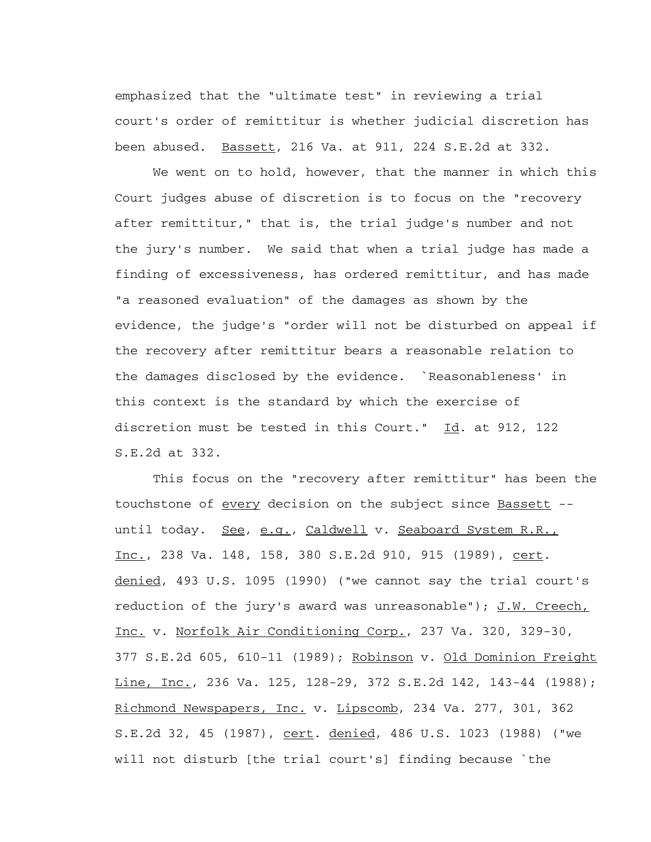emphasized that the "ultimate test" in reviewing a trial court's order of remittitur is whether judicial discretion has been abused. Bassett, 216 Va. at 911, 224 S.E.2d at 332.

 We went on to hold, however, that the manner in which this Court judges abuse of discretion is to focus on the "recovery after remittitur," that is, the trial judge's number and not the jury's number. We said that when a trial judge has made a finding of excessiveness, has ordered remittitur, and has made "a reasoned evaluation" of the damages as shown by the evidence, the judge's "order will not be disturbed on appeal if the recovery after remittitur bears a reasonable relation to the damages disclosed by the evidence. `Reasonableness' in this context is the standard by which the exercise of discretion must be tested in this Court." Id. at 912, 122 S.E.2d at 332.

 This focus on the "recovery after remittitur" has been the touchstone of every decision on the subject since Bassett - until today. See, e.g., Caldwell v. Seaboard System R.R., Inc., 238 Va. 148, 158, 380 S.E.2d 910, 915 (1989), cert. denied, 493 U.S. 1095 (1990) ("we cannot say the trial court's reduction of the jury's award was unreasonable");  $J.W.$  Creech, Inc. v. Norfolk Air Conditioning Corp., 237 Va. 320, 329-30, 377 S.E.2d 605, 610-11 (1989); Robinson v. Old Dominion Freight Line, Inc., 236 Va. 125, 128-29, 372 S.E.2d 142, 143-44 (1988); Richmond Newspapers, Inc. v. Lipscomb, 234 Va. 277, 301, 362 S.E.2d 32, 45 (1987), cert. denied, 486 U.S. 1023 (1988) ("we will not disturb [the trial court's] finding because `the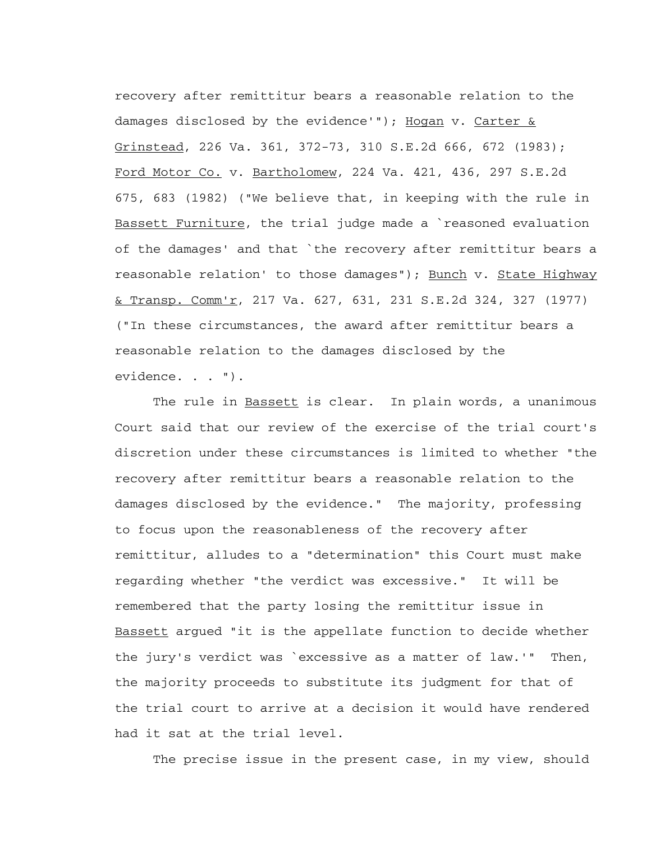recovery after remittitur bears a reasonable relation to the damages disclosed by the evidence'"); Hogan v. Carter  $\&$ Grinstead, 226 Va. 361, 372-73, 310 S.E.2d 666, 672 (1983); Ford Motor Co. v. Bartholomew, 224 Va. 421, 436, 297 S.E.2d 675, 683 (1982) ("We believe that, in keeping with the rule in Bassett Furniture, the trial judge made a `reasoned evaluation of the damages' and that `the recovery after remittitur bears a reasonable relation' to those damages"); Bunch v. State Highway & Transp. Comm'r, 217 Va. 627, 631, 231 S.E.2d 324, 327 (1977) ("In these circumstances, the award after remittitur bears a reasonable relation to the damages disclosed by the evidence. . . ").

The rule in Bassett is clear. In plain words, a unanimous Court said that our review of the exercise of the trial court's discretion under these circumstances is limited to whether "the recovery after remittitur bears a reasonable relation to the damages disclosed by the evidence." The majority, professing to focus upon the reasonableness of the recovery after remittitur, alludes to a "determination" this Court must make regarding whether "the verdict was excessive." It will be remembered that the party losing the remittitur issue in Bassett argued "it is the appellate function to decide whether the jury's verdict was `excessive as a matter of law.'" Then, the majority proceeds to substitute its judgment for that of the trial court to arrive at a decision it would have rendered had it sat at the trial level.

The precise issue in the present case, in my view, should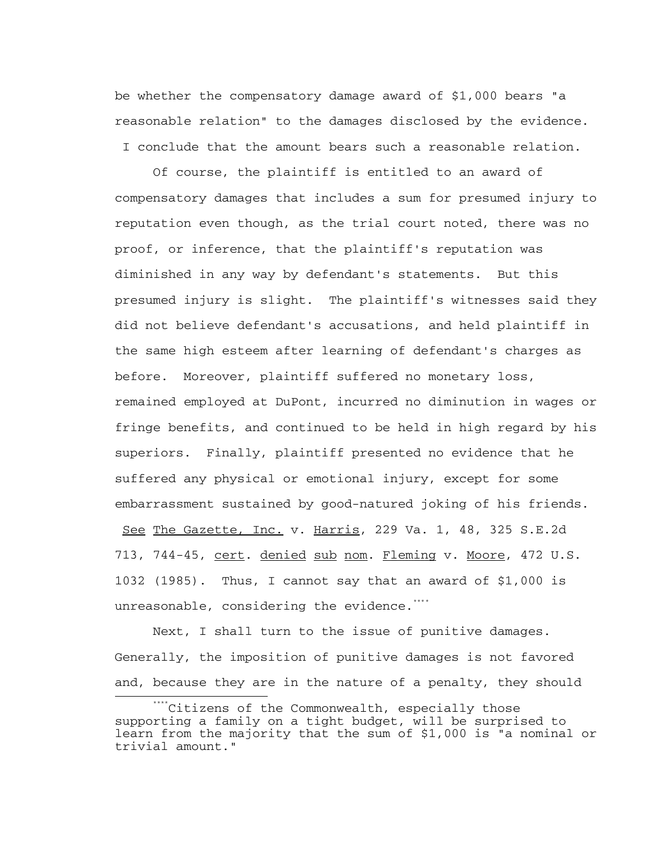be whether the compensatory damage award of \$1,000 bears "a reasonable relation" to the damages disclosed by the evidence. I conclude that the amount bears such a reasonable relation.

 Of course, the plaintiff is entitled to an award of compensatory damages that includes a sum for presumed injury to reputation even though, as the trial court noted, there was no proof, or inference, that the plaintiff's reputation was diminished in any way by defendant's statements. But this presumed injury is slight. The plaintiff's witnesses said they did not believe defendant's accusations, and held plaintiff in the same high esteem after learning of defendant's charges as before. Moreover, plaintiff suffered no monetary loss, remained employed at DuPont, incurred no diminution in wages or fringe benefits, and continued to be held in high regard by his superiors. Finally, plaintiff presented no evidence that he suffered any physical or emotional injury, except for some embarrassment sustained by good-natured joking of his friends.

See The Gazette, Inc. v. Harris, 229 Va. 1, 48, 325 S.E.2d 713, 744-45, cert. denied sub nom. Fleming v. Moore, 472 U.S. 1032 (1985). Thus, I cannot say that an award of \$1,000 is unreasonable, considering the evidence.<sup>[\\*](#page-19-0)\*\*\*</sup>

 Next, I shall turn to the issue of punitive damages. Generally, the imposition of punitive damages is not favored and, because they are in the nature of a penalty, they should i<br>Li

<span id="page-19-0"></span><sup>\*\*\*\*</sup>Citizens of the Commonwealth, especially those supporting a family on a tight budget, will be surprised to learn from the majority that the sum of \$1,000 is "a nominal or trivial amount."